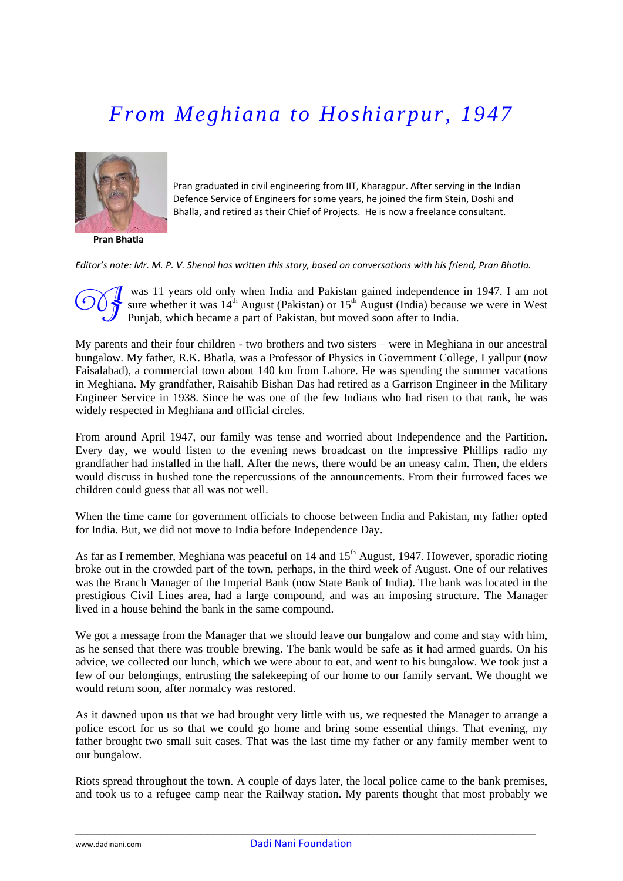## *From Meghiana to Hoshiarpur, 1947*



**Pran Bhatla**

Pran graduated in civil engineering from IIT, Kharagpur. After serving in the Indian Defence Service of Engineers for some years, he joined the firm Stein, Doshi and Bhalla, and retired as their Chief of Projects. He is now a freelance consultant.

Editor's note: Mr. M. P. V. Shenoi has written this story, based on conversations with his friend. Pran Bhatla,

 was 11 years old only when India and Pakistan gained independence in 1947. I am not sure whether it was  $14^{th}$  August (Pakistan) or  $15^{th}$  August (India) because we were in West Punjab, which became a part of Pakistan, but moved soon after to India.

My parents and their four children - two brothers and two sisters – were in Meghiana in our ancestral bungalow. My father, R.K. Bhatla, was a Professor of Physics in Government College, Lyallpur (now Faisalabad), a commercial town about 140 km from Lahore. He was spending the summer vacations in Meghiana. My grandfather, Raisahib Bishan Das had retired as a Garrison Engineer in the Military Engineer Service in 1938. Since he was one of the few Indians who had risen to that rank, he was widely respected in Meghiana and official circles.

From around April 1947, our family was tense and worried about Independence and the Partition. Every day, we would listen to the evening news broadcast on the impressive Phillips radio my grandfather had installed in the hall. After the news, there would be an uneasy calm. Then, the elders would discuss in hushed tone the repercussions of the announcements. From their furrowed faces we children could guess that all was not well.

When the time came for government officials to choose between India and Pakistan, my father opted for India. But, we did not move to India before Independence Day.

As far as I remember, Meghiana was peaceful on  $14$  and  $15<sup>th</sup>$  August, 1947. However, sporadic rioting broke out in the crowded part of the town, perhaps, in the third week of August. One of our relatives was the Branch Manager of the Imperial Bank (now State Bank of India). The bank was located in the prestigious Civil Lines area, had a large compound, and was an imposing structure. The Manager lived in a house behind the bank in the same compound.

We got a message from the Manager that we should leave our bungalow and come and stay with him, as he sensed that there was trouble brewing. The bank would be safe as it had armed guards. On his advice, we collected our lunch, which we were about to eat, and went to his bungalow. We took just a few of our belongings, entrusting the safekeeping of our home to our family servant. We thought we would return soon, after normalcy was restored.

As it dawned upon us that we had brought very little with us, we requested the Manager to arrange a police escort for us so that we could go home and bring some essential things. That evening, my father brought two small suit cases. That was the last time my father or any family member went to our bungalow.

Riots spread throughout the town. A couple of days later, the local police came to the bank premises, and took us to a refugee camp near the Railway station. My parents thought that most probably we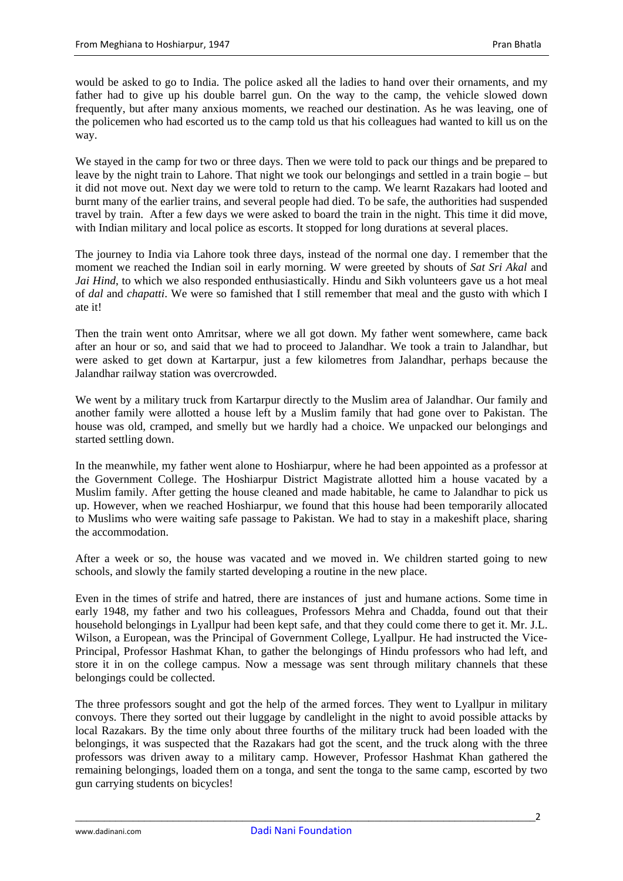would be asked to go to India. The police asked all the ladies to hand over their ornaments, and my father had to give up his double barrel gun. On the way to the camp, the vehicle slowed down frequently, but after many anxious moments, we reached our destination. As he was leaving, one of the policemen who had escorted us to the camp told us that his colleagues had wanted to kill us on the way.

We stayed in the camp for two or three days. Then we were told to pack our things and be prepared to leave by the night train to Lahore. That night we took our belongings and settled in a train bogie – but it did not move out. Next day we were told to return to the camp. We learnt Razakars had looted and burnt many of the earlier trains, and several people had died. To be safe, the authorities had suspended travel by train. After a few days we were asked to board the train in the night. This time it did move, with Indian military and local police as escorts. It stopped for long durations at several places.

The journey to India via Lahore took three days, instead of the normal one day. I remember that the moment we reached the Indian soil in early morning. W were greeted by shouts of *Sat Sri Akal* and *Jai Hind*, to which we also responded enthusiastically. Hindu and Sikh volunteers gave us a hot meal of *dal* and *chapatti*. We were so famished that I still remember that meal and the gusto with which I ate it!

Then the train went onto Amritsar, where we all got down. My father went somewhere, came back after an hour or so, and said that we had to proceed to Jalandhar. We took a train to Jalandhar, but were asked to get down at Kartarpur, just a few kilometres from Jalandhar, perhaps because the Jalandhar railway station was overcrowded.

We went by a military truck from Kartarpur directly to the Muslim area of Jalandhar. Our family and another family were allotted a house left by a Muslim family that had gone over to Pakistan. The house was old, cramped, and smelly but we hardly had a choice. We unpacked our belongings and started settling down.

In the meanwhile, my father went alone to Hoshiarpur, where he had been appointed as a professor at the Government College. The Hoshiarpur District Magistrate allotted him a house vacated by a Muslim family. After getting the house cleaned and made habitable, he came to Jalandhar to pick us up. However, when we reached Hoshiarpur, we found that this house had been temporarily allocated to Muslims who were waiting safe passage to Pakistan. We had to stay in a makeshift place, sharing the accommodation.

After a week or so, the house was vacated and we moved in. We children started going to new schools, and slowly the family started developing a routine in the new place.

Even in the times of strife and hatred, there are instances of just and humane actions. Some time in early 1948, my father and two his colleagues, Professors Mehra and Chadda, found out that their household belongings in Lyallpur had been kept safe, and that they could come there to get it. Mr. J.L. Wilson, a European, was the Principal of Government College, Lyallpur. He had instructed the Vice-Principal, Professor Hashmat Khan, to gather the belongings of Hindu professors who had left, and store it in on the college campus. Now a message was sent through military channels that these belongings could be collected.

The three professors sought and got the help of the armed forces. They went to Lyallpur in military convoys. There they sorted out their luggage by candlelight in the night to avoid possible attacks by local Razakars. By the time only about three fourths of the military truck had been loaded with the belongings, it was suspected that the Razakars had got the scent, and the truck along with the three professors was driven away to a military camp. However, Professor Hashmat Khan gathered the remaining belongings, loaded them on a tonga, and sent the tonga to the same camp, escorted by two gun carrying students on bicycles!

\_\_\_\_\_\_\_\_\_\_\_\_\_\_\_\_\_\_\_\_\_\_\_\_\_\_\_\_\_\_\_\_\_\_\_\_\_\_\_\_\_\_\_\_\_\_\_\_\_\_\_\_\_\_\_\_\_\_\_\_\_\_\_\_\_\_\_\_\_\_\_\_\_\_\_\_\_\_\_\_2